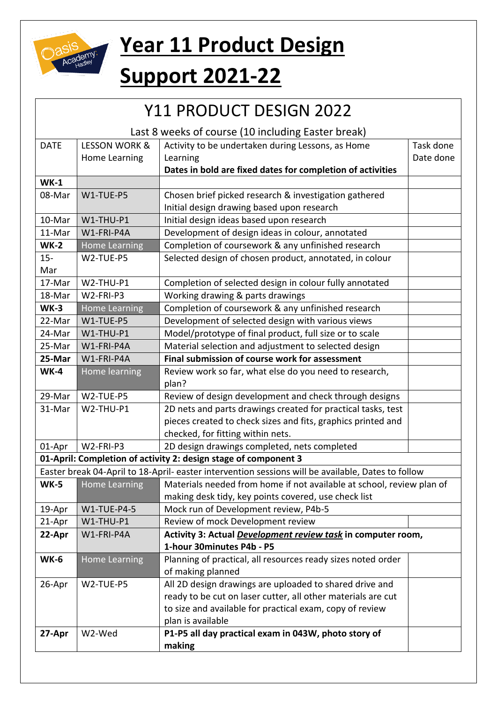

## **Year 11 Product Design**

## **Support 2021-22**

| Y11 PRODUCT DESIGN 2022                                         |                                                                                                    |                                                                       |           |  |  |
|-----------------------------------------------------------------|----------------------------------------------------------------------------------------------------|-----------------------------------------------------------------------|-----------|--|--|
| Last 8 weeks of course (10 including Easter break)              |                                                                                                    |                                                                       |           |  |  |
| <b>DATE</b>                                                     | <b>LESSON WORK &amp;</b>                                                                           | Activity to be undertaken during Lessons, as Home                     | Task done |  |  |
|                                                                 | Home Learning                                                                                      | Learning                                                              | Date done |  |  |
|                                                                 |                                                                                                    | Dates in bold are fixed dates for completion of activities            |           |  |  |
| $WK-1$                                                          |                                                                                                    |                                                                       |           |  |  |
| 08-Mar                                                          | W1-TUE-P5                                                                                          | Chosen brief picked research & investigation gathered                 |           |  |  |
|                                                                 |                                                                                                    | Initial design drawing based upon research                            |           |  |  |
| 10-Mar                                                          | W1-THU-P1                                                                                          | Initial design ideas based upon research                              |           |  |  |
| 11-Mar                                                          | W1-FRI-P4A                                                                                         | Development of design ideas in colour, annotated                      |           |  |  |
| <b>WK-2</b>                                                     | <b>Home Learning</b>                                                                               | Completion of coursework & any unfinished research                    |           |  |  |
| $15 -$                                                          | W2-TUE-P5                                                                                          | Selected design of chosen product, annotated, in colour               |           |  |  |
| Mar                                                             |                                                                                                    |                                                                       |           |  |  |
| 17-Mar                                                          | W2-THU-P1                                                                                          | Completion of selected design in colour fully annotated               |           |  |  |
| 18-Mar                                                          | W2-FRI-P3                                                                                          | Working drawing & parts drawings                                      |           |  |  |
| $WK-3$                                                          | <b>Home Learning</b>                                                                               | Completion of coursework & any unfinished research                    |           |  |  |
| 22-Mar                                                          | W1-TUE-P5                                                                                          | Development of selected design with various views                     |           |  |  |
| 24-Mar                                                          | W1-THU-P1                                                                                          | Model/prototype of final product, full size or to scale               |           |  |  |
| 25-Mar                                                          | W1-FRI-P4A                                                                                         | Material selection and adjustment to selected design                  |           |  |  |
| 25-Mar                                                          | W1-FRI-P4A                                                                                         | Final submission of course work for assessment                        |           |  |  |
| <b>WK-4</b>                                                     | Home learning                                                                                      | Review work so far, what else do you need to research,                |           |  |  |
|                                                                 |                                                                                                    | plan?                                                                 |           |  |  |
| 29-Mar                                                          | W2-TUE-P5                                                                                          | Review of design development and check through designs                |           |  |  |
| 31-Mar                                                          | W2-THU-P1                                                                                          | 2D nets and parts drawings created for practical tasks, test          |           |  |  |
|                                                                 |                                                                                                    | pieces created to check sizes and fits, graphics printed and          |           |  |  |
|                                                                 |                                                                                                    | checked, for fitting within nets.                                     |           |  |  |
| 01-Apr                                                          | W2-FRI-P3                                                                                          | 2D design drawings completed, nets completed                          |           |  |  |
| 01-April: Completion of activity 2: design stage of component 3 |                                                                                                    |                                                                       |           |  |  |
|                                                                 | Easter break 04-April to 18-April- easter intervention sessions will be available, Dates to follow |                                                                       |           |  |  |
| <b>WK-5</b>                                                     | <b>Home Learning</b>                                                                               | Materials needed from home if not available at school, review plan of |           |  |  |
|                                                                 |                                                                                                    | making desk tidy, key points covered, use check list                  |           |  |  |
| 19-Apr                                                          | <b>W1-TUE-P4-5</b>                                                                                 | Mock run of Development review, P4b-5                                 |           |  |  |
| 21-Apr                                                          | W1-THU-P1                                                                                          | Review of mock Development review                                     |           |  |  |
| 22-Apr                                                          | W1-FRI-P4A                                                                                         | Activity 3: Actual Development review task in computer room,          |           |  |  |
|                                                                 |                                                                                                    | 1-hour 30minutes P4b - P5                                             |           |  |  |
| <b>WK-6</b>                                                     | <b>Home Learning</b>                                                                               | Planning of practical, all resources ready sizes noted order          |           |  |  |
|                                                                 |                                                                                                    | of making planned                                                     |           |  |  |
| 26-Apr                                                          | W2-TUE-P5                                                                                          | All 2D design drawings are uploaded to shared drive and               |           |  |  |
|                                                                 |                                                                                                    | ready to be cut on laser cutter, all other materials are cut          |           |  |  |
|                                                                 |                                                                                                    | to size and available for practical exam, copy of review              |           |  |  |
|                                                                 |                                                                                                    | plan is available                                                     |           |  |  |
| 27-Apr                                                          | W2-Wed                                                                                             | P1-P5 all day practical exam in 043W, photo story of                  |           |  |  |
|                                                                 |                                                                                                    | making                                                                |           |  |  |